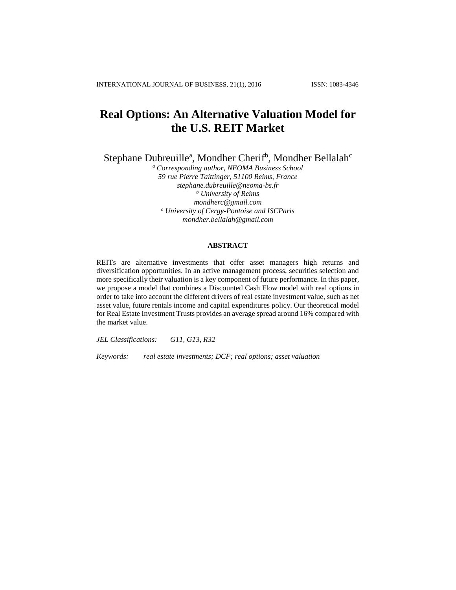# **Real Options: An Alternative Valuation Model for the U.S. REIT Market**

Stephane Dubreuille<sup>a</sup>, Mondher Cherif<sup>b</sup>, Mondher Bellalah<sup>c</sup>

*<sup>a</sup> Corresponding author, NEOMA Business School 59 rue Pierre Taittinger, 51100 Reims, France stephane.dubreuille@neoma-bs.fr <sup>b</sup> University of Reims mondherc@gmail.com <sup>c</sup> University of Cergy-Pontoise and ISCParis mondher.bellalah@gmail.com*

## **ABSTRACT**

REITs are alternative investments that offer asset managers high returns and diversification opportunities. In an active management process, securities selection and more specifically their valuation is a key component of future performance. In this paper, we propose a model that combines a Discounted Cash Flow model with real options in order to take into account the different drivers of real estate investment value, such as net asset value, future rentals income and capital expenditures policy. Our theoretical model for Real Estate Investment Trusts provides an average spread around 16% compared with the market value.

*JEL Classifications: G11, G13, R32*

*Keywords: real estate investments; DCF; real options; asset valuation*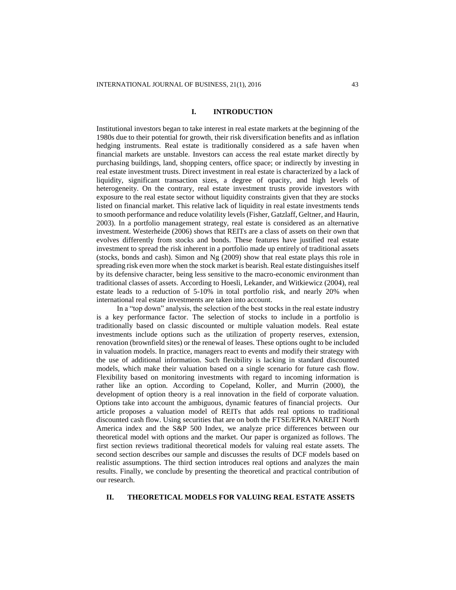# **I. INTRODUCTION**

Institutional investors began to take interest in real estate markets at the beginning of the 1980s due to their potential for growth, their risk diversification benefits and as inflation hedging instruments. Real estate is traditionally considered as a safe haven when financial markets are unstable. Investors can access the real estate market directly by purchasing buildings, land, shopping centers, office space; or indirectly by investing in real estate investment trusts. Direct investment in real estate is characterized by a lack of liquidity, significant transaction sizes, a degree of opacity, and high levels of heterogeneity. On the contrary, real estate investment trusts provide investors with exposure to the real estate sector without liquidity constraints given that they are stocks listed on financial market. This relative lack of liquidity in real estate investments tends to smooth performance and reduce volatility levels (Fisher, Gatzlaff, Geltner, and Haurin, 2003). In a portfolio management strategy, real estate is considered as an alternative investment. Westerheide (2006) shows that REITs are a class of assets on their own that evolves differently from stocks and bonds. These features have justified real estate investment to spread the risk inherent in a portfolio made up entirely of traditional assets (stocks, bonds and cash). Simon and Ng (2009) show that real estate plays this role in spreading risk even more when the stock market is bearish. Real estate distinguishes itself by its defensive character, being less sensitive to the macro-economic environment than traditional classes of assets. According to Hoesli, Lekander, and Witkiewicz (2004), real estate leads to a reduction of 5-10% in total portfolio risk, and nearly 20% when international real estate investments are taken into account.

In a "top down" analysis, the selection of the best stocks in the real estate industry is a key performance factor. The selection of stocks to include in a portfolio is traditionally based on classic discounted or multiple valuation models. Real estate investments include options such as the utilization of property reserves, extension, renovation (brownfield sites) or the renewal of leases. These options ought to be included in valuation models. In practice, managers react to events and modify their strategy with the use of additional information. Such flexibility is lacking in standard discounted models, which make their valuation based on a single scenario for future cash flow. Flexibility based on monitoring investments with regard to incoming information is rather like an option. According to Copeland, Koller, and Murrin (2000), the development of option theory is a real innovation in the field of corporate valuation. Options take into account the ambiguous, dynamic features of financial projects. Our article proposes a valuation model of REITs that adds real options to traditional discounted cash flow. Using securities that are on both the FTSE/EPRA NAREIT North America index and the S&P 500 Index, we analyze price differences between our theoretical model with options and the market. Our paper is organized as follows. The first section reviews traditional theoretical models for valuing real estate assets. The second section describes our sample and discusses the results of DCF models based on realistic assumptions. The third section introduces real options and analyzes the main results. Finally, we conclude by presenting the theoretical and practical contribution of our research.

# **II. THEORETICAL MODELS FOR VALUING REAL ESTATE ASSETS**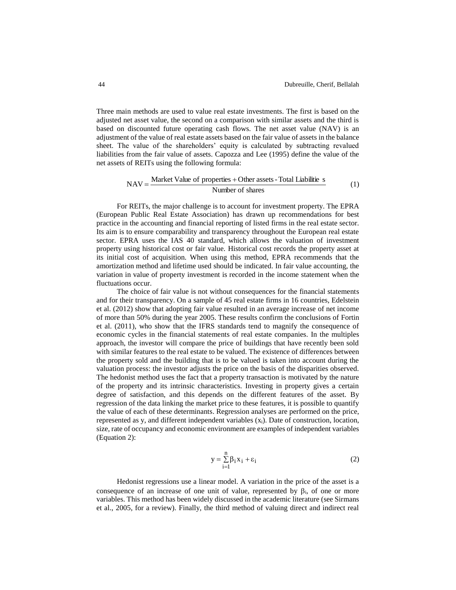Three main methods are used to value real estate investments. The first is based on the adjusted net asset value, the second on a comparison with similar assets and the third is based on discounted future operating cash flows. The net asset value (NAV) is an adjustment of the value of real estate assets based on the fair value of assets in the balance sheet. The value of the shareholders' equity is calculated by subtracting revalued liabilities from the fair value of assets. Capozza and Lee (1995) define the value of the net assets of REITs using the following formula:

$$
NAV = \frac{Market Value of properties + Other assets - Total Liabilities}{Number of shares}
$$
 (1)

For REITs, the major challenge is to account for investment property. The EPRA (European Public Real Estate Association) has drawn up recommendations for best practice in the accounting and financial reporting of listed firms in the real estate sector. Its aim is to ensure comparability and transparency throughout the European real estate sector. EPRA uses the IAS 40 standard, which allows the valuation of investment property using historical cost or fair value. Historical cost records the property asset at its initial cost of acquisition. When using this method, EPRA recommends that the amortization method and lifetime used should be indicated. In fair value accounting, the variation in value of property investment is recorded in the income statement when the fluctuations occur.

The choice of fair value is not without consequences for the financial statements and for their transparency. On a sample of 45 real estate firms in 16 countries, Edelstein et al. (2012) show that adopting fair value resulted in an average increase of net income of more than 50% during the year 2005. These results confirm the conclusions of Fortin et al. (2011), who show that the IFRS standards tend to magnify the consequence of economic cycles in the financial statements of real estate companies. In the multiples approach, the investor will compare the price of buildings that have recently been sold with similar features to the real estate to be valued. The existence of differences between the property sold and the building that is to be valued is taken into account during the valuation process: the investor adjusts the price on the basis of the disparities observed. The hedonist method uses the fact that a property transaction is motivated by the nature of the property and its intrinsic characteristics. Investing in property gives a certain degree of satisfaction, and this depends on the different features of the asset. By regression of the data linking the market price to these features, it is possible to quantify the value of each of these determinants. Regression analyses are performed on the price, represented as y, and different independent variables  $(x<sub>i</sub>)$ . Date of construction, location, size, rate of occupancy and economic environment are examples of independent variables (Equation 2):

$$
y = \sum_{i=1}^{n} \beta_i x_i + \varepsilon_i
$$
 (2)

Hedonist regressions use a linear model. A variation in the price of the asset is a consequence of an increase of one unit of value, represented by  $\beta_i$ , of one or more variables. This method has been widely discussed in the academic literature (see Sirmans et al., 2005, for a review). Finally, the third method of valuing direct and indirect real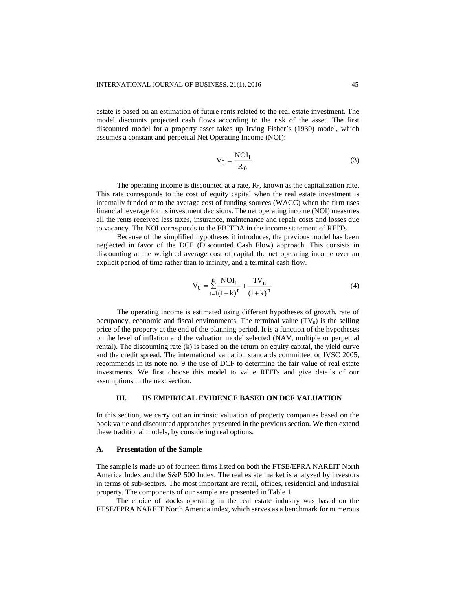estate is based on an estimation of future rents related to the real estate investment. The model discounts projected cash flows according to the risk of the asset. The first discounted model for a property asset takes up Irving Fisher's (1930) model, which assumes a constant and perpetual Net Operating Income (NOI):

$$
V_0 = \frac{NOI_1}{R_0}
$$
 (3)

The operating income is discounted at a rate,  $R_0$ , known as the capitalization rate. This rate corresponds to the cost of equity capital when the real estate investment is internally funded or to the average cost of funding sources (WACC) when the firm uses financial leverage for its investment decisions. The net operating income (NOI) measures all the rents received less taxes, insurance, maintenance and repair costs and losses due to vacancy. The NOI corresponds to the EBITDA in the income statement of REITs.

Because of the simplified hypotheses it introduces, the previous model has been neglected in favor of the DCF (Discounted Cash Flow) approach. This consists in discounting at the weighted average cost of capital the net operating income over an explicit period of time rather than to infinity, and a terminal cash flow.

$$
V_0 = \sum_{t=1}^{n} \frac{NOI_t}{(1+k)^t} + \frac{TV_n}{(1+k)^n}
$$
(4)

The operating income is estimated using different hypotheses of growth, rate of occupancy, economic and fiscal environments. The terminal value  $(TV_n)$  is the selling price of the property at the end of the planning period. It is a function of the hypotheses on the level of inflation and the valuation model selected (NAV, multiple or perpetual rental). The discounting rate (k) is based on the return on equity capital, the yield curve and the credit spread. The international valuation standards committee, or IVSC 2005, recommends in its note no. 9 the use of DCF to determine the fair value of real estate investments. We first choose this model to value REITs and give details of our assumptions in the next section.

# **III. US EMPIRICAL EVIDENCE BASED ON DCF VALUATION**

In this section, we carry out an intrinsic valuation of property companies based on the book value and discounted approaches presented in the previous section. We then extend these traditional models, by considering real options.

#### **A. Presentation of the Sample**

The sample is made up of fourteen firms listed on both the FTSE/EPRA NAREIT North America Index and the S&P 500 Index. The real estate market is analyzed by investors in terms of sub-sectors. The most important are retail, offices, residential and industrial property. The components of our sample are presented in Table 1.

The choice of stocks operating in the real estate industry was based on the FTSE/EPRA NAREIT North America index, which serves as a benchmark for numerous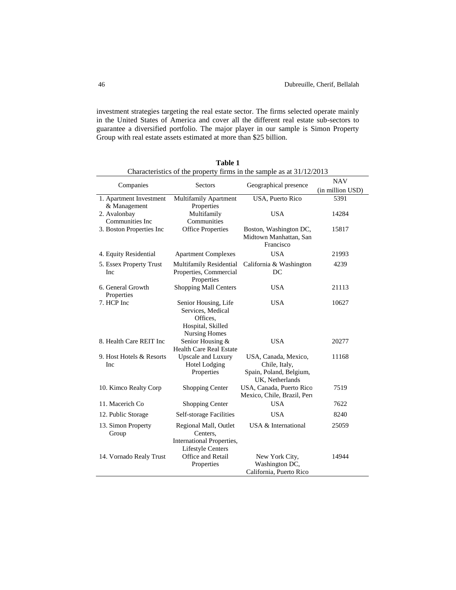investment strategies targeting the real estate sector. The firms selected operate mainly in the United States of America and cover all the different real estate sub-sectors to guarantee a diversified portfolio. The major player in our sample is Simon Property Group with real estate assets estimated at more than \$25 billion.

| Characteristics of the property firms in the sample as at 31/12/2013 |                                           |                             |                                |  |  |  |
|----------------------------------------------------------------------|-------------------------------------------|-----------------------------|--------------------------------|--|--|--|
| Companies                                                            | <b>Sectors</b>                            | Geographical presence       | <b>NAV</b><br>(in million USD) |  |  |  |
| 1. Apartment Investment                                              | <b>Multifamily Apartment</b>              | <b>USA, Puerto Rico</b>     | 5391                           |  |  |  |
| & Management                                                         | Properties                                |                             |                                |  |  |  |
| 2. Avalonbay                                                         | Multifamily                               | <b>USA</b>                  | 14284                          |  |  |  |
| Communities Inc                                                      | Communities                               |                             |                                |  |  |  |
| 3. Boston Properties Inc                                             | <b>Office Properties</b>                  | Boston, Washington DC,      | 15817                          |  |  |  |
|                                                                      |                                           | Midtown Manhattan, San      |                                |  |  |  |
|                                                                      |                                           | Francisco                   |                                |  |  |  |
| 4. Equity Residential                                                | <b>Apartment Complexes</b>                | <b>USA</b>                  | 21993                          |  |  |  |
| 5. Essex Property Trust                                              | Multifamily Residential                   | California & Washington     | 4239                           |  |  |  |
| Inc                                                                  | Properties, Commercial                    | DC                          |                                |  |  |  |
|                                                                      | Properties                                |                             |                                |  |  |  |
| 6. General Growth                                                    | <b>Shopping Mall Centers</b>              | <b>USA</b>                  | 21113                          |  |  |  |
| Properties                                                           |                                           |                             |                                |  |  |  |
| 7. HCP Inc                                                           | Senior Housing, Life                      | <b>USA</b>                  | 10627                          |  |  |  |
|                                                                      | Services, Medical                         |                             |                                |  |  |  |
|                                                                      | Offices.                                  |                             |                                |  |  |  |
|                                                                      | Hospital, Skilled<br><b>Nursing Homes</b> |                             |                                |  |  |  |
| 8. Health Care REIT Inc                                              | Senior Housing &                          | <b>USA</b>                  | 20277                          |  |  |  |
|                                                                      | <b>Health Care Real Estate</b>            |                             |                                |  |  |  |
| 9. Host Hotels & Resorts                                             | <b>Upscale and Luxury</b>                 | USA, Canada, Mexico,        | 11168                          |  |  |  |
| Inc                                                                  | <b>Hotel Lodging</b>                      | Chile, Italy,               |                                |  |  |  |
|                                                                      | Properties                                | Spain, Poland, Belgium,     |                                |  |  |  |
|                                                                      |                                           | UK, Netherlands             |                                |  |  |  |
| 10. Kimco Realty Corp                                                | Shopping Center                           | USA, Canada, Puerto Rico    | 7519                           |  |  |  |
|                                                                      |                                           | Mexico, Chile, Brazil, Pert |                                |  |  |  |
| 11. Macerich Co                                                      | <b>Shopping Center</b>                    | <b>USA</b>                  | 7622                           |  |  |  |
| 12. Public Storage                                                   | <b>Self-storage Facilities</b>            | <b>USA</b>                  | 8240                           |  |  |  |
| 13. Simon Property                                                   | Regional Mall, Outlet                     | USA & International         | 25059                          |  |  |  |
| Group                                                                | Centers.                                  |                             |                                |  |  |  |
|                                                                      | International Properties,                 |                             |                                |  |  |  |
|                                                                      | <b>Lifestyle Centers</b>                  |                             |                                |  |  |  |
| 14. Vornado Realy Trust                                              | Office and Retail                         | New York City,              | 14944                          |  |  |  |
|                                                                      | Properties                                | Washington DC,              |                                |  |  |  |
|                                                                      |                                           | California, Puerto Rico     |                                |  |  |  |

**Table 1** Characteristics of the property firms in the sample as at 31/12/2013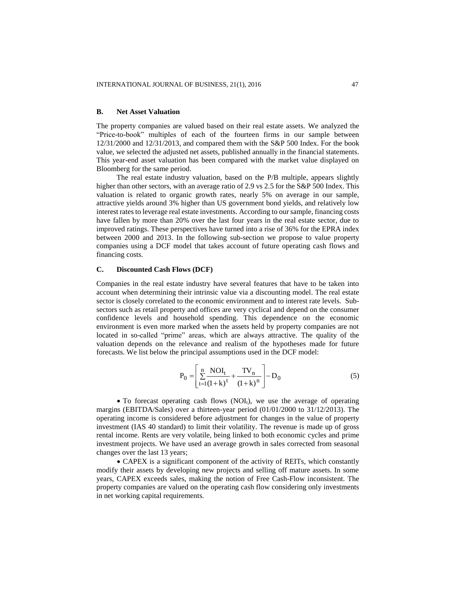#### **B. Net Asset Valuation**

The property companies are valued based on their real estate assets. We analyzed the "Price-to-book" multiples of each of the fourteen firms in our sample between 12/31/2000 and 12/31/2013, and compared them with the S&P 500 Index. For the book value, we selected the adjusted net assets, published annually in the financial statements. This year-end asset valuation has been compared with the market value displayed on Bloomberg for the same period.

The real estate industry valuation, based on the P/B multiple, appears slightly higher than other sectors, with an average ratio of 2.9 vs 2.5 for the S&P 500 Index. This valuation is related to organic growth rates, nearly 5% on average in our sample, attractive yields around 3% higher than US government bond yields, and relatively low interest rates to leverage real estate investments. According to our sample, financing costs have fallen by more than 20% over the last four years in the real estate sector, due to improved ratings. These perspectives have turned into a rise of 36% for the EPRA index between 2000 and 2013. In the following sub-section we propose to value property companies using a DCF model that takes account of future operating cash flows and financing costs.

## **C. Discounted Cash Flows (DCF)**

Companies in the real estate industry have several features that have to be taken into account when determining their intrinsic value via a discounting model. The real estate sector is closely correlated to the economic environment and to interest rate levels. Subsectors such as retail property and offices are very cyclical and depend on the consumer confidence levels and household spending. This dependence on the economic environment is even more marked when the assets held by property companies are not located in so-called "prime" areas, which are always attractive. The quality of the valuation depends on the relevance and realism of the hypotheses made for future forecasts. We list below the principal assumptions used in the DCF model:

$$
P_0 = \left[ \sum_{t=1}^{n} \frac{NOI_t}{(1+k)^t} + \frac{TV_n}{(1+k)^n} \right] - D_0
$$
 (5)

 $\bullet$  To forecast operating cash flows (NOI<sub>t</sub>), we use the average of operating margins (EBITDA/Sales) over a thirteen-year period (01/01/2000 to 31/12/2013). The operating income is considered before adjustment for changes in the value of property investment (IAS 40 standard) to limit their volatility. The revenue is made up of gross rental income. Rents are very volatile, being linked to both economic cycles and prime investment projects. We have used an average growth in sales corrected from seasonal changes over the last 13 years;

 CAPEX is a significant component of the activity of REITs, which constantly modify their assets by developing new projects and selling off mature assets. In some years, CAPEX exceeds sales, making the notion of Free Cash-Flow inconsistent. The property companies are valued on the operating cash flow considering only investments in net working capital requirements.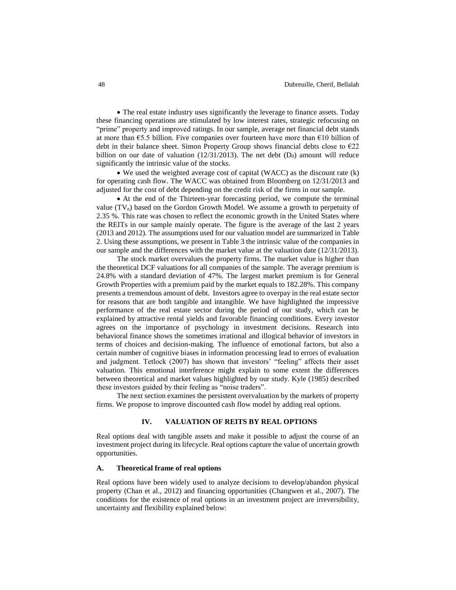• The real estate industry uses significantly the leverage to finance assets. Today these financing operations are stimulated by low interest rates, strategic refocusing on "prime" property and improved ratings. In our sample, average net financial debt stands at more than €5.5 billion. Five companies over fourteen have more than €10 billion of debt in their balance sheet. Simon Property Group shows financial debts close to  $\epsilon$ 22 billion on our date of valuation  $(12/31/2013)$ . The net debt  $(D_0)$  amount will reduce significantly the intrinsic value of the stocks.

 We used the weighted average cost of capital (WACC) as the discount rate (k) for operating cash flow. The WACC was obtained from Bloomberg on 12/31/2013 and adjusted for the cost of debt depending on the credit risk of the firms in our sample.

 At the end of the Thirteen-year forecasting period, we compute the terminal value  $(TV_n)$  based on the Gordon Growth Model. We assume a growth to perpetuity of 2.35 %. This rate was chosen to reflect the economic growth in the United States where the REITs in our sample mainly operate. The figure is the average of the last 2 years (2013 and 2012). The assumptions used for our valuation model are summarized in Table 2. Using these assumptions, we present in Table 3 the intrinsic value of the companies in our sample and the differences with the market value at the valuation date (12/31/2013).

The stock market overvalues the property firms. The market value is higher than the theoretical DCF valuations for all companies of the sample. The average premium is 24.8% with a standard deviation of 47%. The largest market premium is for General Growth Properties with a premium paid by the market equals to 182.28%. This company presents a tremendous amount of debt. Investors agree to overpay in the real estate sector for reasons that are both tangible and intangible. We have highlighted the impressive performance of the real estate sector during the period of our study, which can be explained by attractive rental yields and favorable financing conditions. Every investor agrees on the importance of psychology in investment decisions. Research into behavioral finance shows the sometimes irrational and illogical behavior of investors in terms of choices and decision-making. The influence of emotional factors, but also a certain number of cognitive biases in information processing lead to errors of evaluation and judgment. Tetlock (2007) has shown that investors' "feeling" affects their asset valuation. This emotional interference might explain to some extent the differences between theoretical and market values highlighted by our study. Kyle (1985) described these investors guided by their feeling as "noise traders".

The next section examines the persistent overvaluation by the markets of property firms. We propose to improve discounted cash flow model by adding real options.

# **IV. VALUATION OF REITS BY REAL OPTIONS**

Real options deal with tangible assets and make it possible to adjust the course of an investment project during its lifecycle. Real options capture the value of uncertain growth opportunities.

#### **A. Theoretical frame of real options**

Real options have been widely used to analyze decisions to develop/abandon physical property (Chan et al., 2012) and financing opportunities (Changwen et al., 2007). The conditions for the existence of real options in an investment project are irreversibility, uncertainty and flexibility explained below: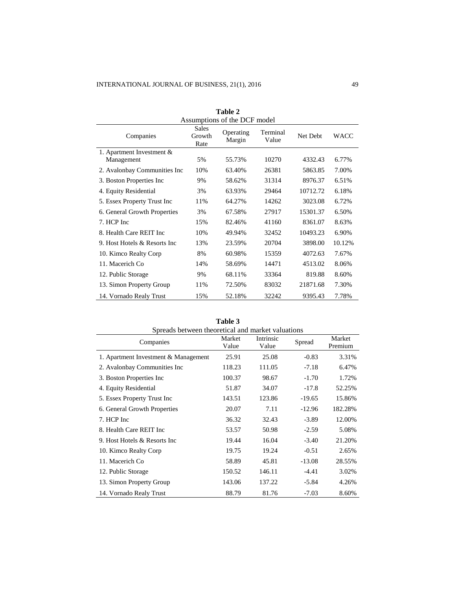| Table 2<br>Assumptions of the DCF model |                         |                     |                   |          |        |
|-----------------------------------------|-------------------------|---------------------|-------------------|----------|--------|
| Companies                               | Sales<br>Growth<br>Rate | Operating<br>Margin | Terminal<br>Value | Net Debt | WACC   |
| 1. Apartment Investment &               |                         |                     |                   |          |        |
| Management                              | 5%                      | 55.73%              | 10270             | 4332.43  | 6.77%  |
| 2. Avalonbay Communities Inc            | 10%                     | 63.40%              | 26381             | 5863.85  | 7.00%  |
| 3. Boston Properties Inc.               | 9%                      | 58.62%              | 31314             | 8976.37  | 6.51%  |
| 4. Equity Residential                   | 3%                      | 63.93%              | 29464             | 10712.72 | 6.18%  |
| 5. Essex Property Trust Inc.            | 11%                     | 64.27%              | 14262             | 3023.08  | 6.72%  |
| 6. General Growth Properties            | 3%                      | 67.58%              | 27917             | 15301.37 | 6.50%  |
| 7. HCP Inc                              | 15%                     | 82.46%              | 41160             | 8361.07  | 8.63%  |
| 8. Health Care REIT Inc.                | 10%                     | 49.94%              | 32452             | 10493.23 | 6.90%  |
| 9. Host Hotels & Resorts Inc            | 13%                     | 23.59%              | 20704             | 3898.00  | 10.12% |
| 10. Kimco Realty Corp                   | 8%                      | 60.98%              | 15359             | 4072.63  | 7.67%  |
| 11. Macerich Co                         | 14%                     | 58.69%              | 14471             | 4513.02  | 8.06%  |
| 12. Public Storage                      | 9%                      | 68.11%              | 33364             | 819.88   | 8.60%  |
| 13. Simon Property Group                | 11%                     | 72.50%              | 83032             | 21871.68 | 7.30%  |
| 14. Vornado Realy Trust                 | 15%                     | 52.18%              | 32242             | 9395.43  | 7.78%  |

| Table 3                                           |                 |                    |          |                   |  |
|---------------------------------------------------|-----------------|--------------------|----------|-------------------|--|
| Spreads between theoretical and market valuations |                 |                    |          |                   |  |
| Companies                                         | Market<br>Value | Intrinsic<br>Value | Spread   | Market<br>Premium |  |
| 1. Apartment Investment & Management              | 25.91           | 25.08              | $-0.83$  | 3.31%             |  |
| 2. Avalonbay Communities Inc                      | 118.23          | 111.05             | $-7.18$  | 6.47%             |  |
| 3. Boston Properties Inc.                         | 100.37          | 98.67              | $-1.70$  | 1.72%             |  |
| 4. Equity Residential                             | 51.87           | 34.07              | $-17.8$  | 52.25%            |  |
| 5. Essex Property Trust Inc.                      | 143.51          | 123.86             | $-19.65$ | 15.86%            |  |
| 6. General Growth Properties                      | 20.07           | 7.11               | $-12.96$ | 182.28%           |  |
| 7. HCP Inc                                        | 36.32           | 32.43              | $-3.89$  | 12.00%            |  |
| 8. Health Care REIT Inc.                          | 53.57           | 50.98              | $-2.59$  | 5.08%             |  |
| 9. Host Hotels & Resorts Inc.                     | 19.44           | 16.04              | $-3.40$  | 21.20%            |  |
| 10. Kimco Realty Corp                             | 19.75           | 19.24              | $-0.51$  | 2.65%             |  |
| 11. Macerich Co                                   | 58.89           | 45.81              | $-13.08$ | 28.55%            |  |
| 12. Public Storage                                | 150.52          | 146.11             | $-4.41$  | 3.02%             |  |
| 13. Simon Property Group                          | 143.06          | 137.22             | $-5.84$  | 4.26%             |  |
| 14. Vornado Realy Trust                           | 88.79           | 81.76              | $-7.03$  | 8.60%             |  |

**Table 3**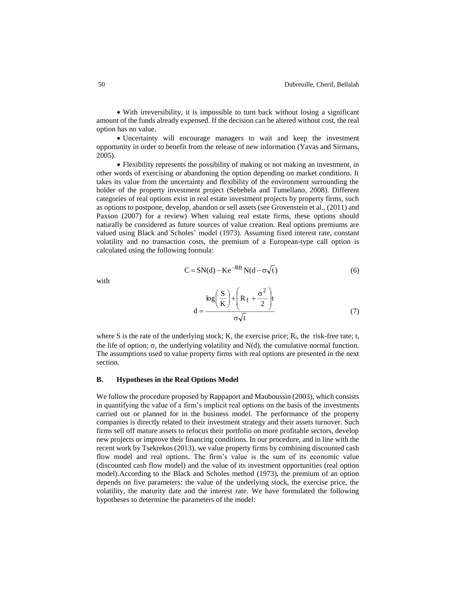With irreversibility, it is impossible to turn back without losing a significant amount of the funds already expensed. If the decision can be altered without cost, the real option has no value.

 Uncertainty will encourage managers to wait and keep the investment opportunity in order to benefit from the release of new information (Yavas and Sirmans, 2005).

 Flexibility represents the possibility of making or not making an investment, in other words of exercising or abandoning the option depending on market conditions. It takes its value from the uncertainty and flexibility of the environment surrounding the holder of the property investment project (Sebehela and Tumellano, 2008). Different categories of real options exist in real estate investment projects by property firms, such as options to postpone, develop, abandon or sell assets (see Grovenstein et al., (2011) and Paxson (2007) for a review) When valuing real estate firms, these options should naturally be considered as future sources of value creation. Real options premiums are valued using Black and Scholes' model (1973). Assuming fixed interest rate, constant volatility and no transaction costs, the premium of a European-type call option is calculated using the following formula:

$$
C = SN(d) - Ke^{-Rft} N(d - \sigma\sqrt{t})
$$
\n(6)

with

$$
d = \frac{\log\left(\frac{S}{K}\right) + \left(R_f + \frac{\sigma^2}{2}\right)t}{\sigma\sqrt{t}}
$$
(7)

where S is the rate of the underlying stock; K, the exercise price;  $R_f$ , the risk-free rate; t, the life of option;  $\sigma$ , the underlying volatility and N(d), the cumulative normal function. The assumptions used to value property firms with real options are presented in the next section.

## **B. Hypotheses in the Real Options Model**

We follow the procedure proposed by Rappaport and Mauboussin (2003), which consists in quantifying the value of a firm's implicit real options on the basis of the investments carried out or planned for in the business model. The performance of the property companies is directly related to their investment strategy and their assets turnover. Such firms sell off mature assets to refocus their portfolio on more profitable sectors, develop new projects or improve their financing conditions. In our procedure, and in line with the recent work by Tsekrekos (2013), we value property firms by combining discounted cash flow model and real options. The firm's value is the sum of its economic value (discounted cash flow model) and the value of its investment opportunities (real option model).According to the Black and Scholes method (1973), the premium of an option depends on five parameters: the value of the underlying stock, the exercise price, the volatility, the maturity date and the interest rate. We have formulated the following hypotheses to determine the parameters of the model: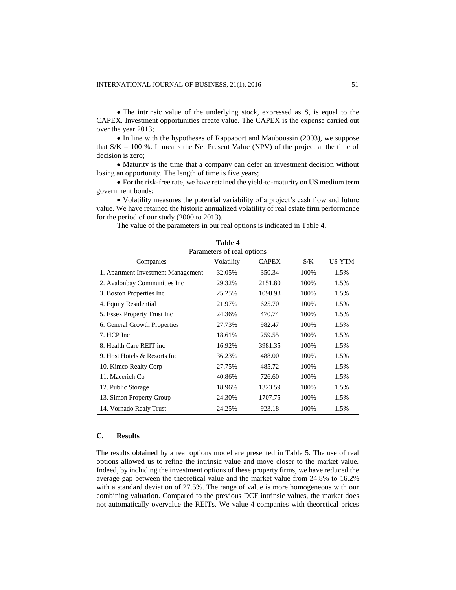• The intrinsic value of the underlying stock, expressed as S, is equal to the CAPEX. Investment opportunities create value. The CAPEX is the expense carried out over the year 2013;

• In line with the hypotheses of Rappaport and Mauboussin (2003), we suppose that  $S/K = 100$  %. It means the Net Present Value (NPV) of the project at the time of decision is zero;

• Maturity is the time that a company can defer an investment decision without losing an opportunity. The length of time is five years;

 For the risk-free rate, we have retained the yield-to-maturity on US medium term government bonds;

 Volatility measures the potential variability of a project's cash flow and future value. We have retained the historic annualized volatility of real estate firm performance for the period of our study (2000 to 2013).

**Table 4**

The value of the parameters in our real options is indicated in Table 4.

| тате 4<br>Parameters of real options |            |              |      |        |  |
|--------------------------------------|------------|--------------|------|--------|--|
| Companies                            | Volatility | <b>CAPEX</b> | S/K  | US YTM |  |
| 1. Apartment Investment Management   | 32.05%     | 350.34       | 100% | 1.5%   |  |
| 2. Avalonbay Communities Inc         | 29.32%     | 2151.80      | 100% | 1.5%   |  |
| 3. Boston Properties Inc.            | 25.25%     | 1098.98      | 100% | 1.5%   |  |
| 4. Equity Residential                | 21.97%     | 625.70       | 100% | 1.5%   |  |
| 5. Essex Property Trust Inc          | 24.36%     | 470.74       | 100% | 1.5%   |  |
| 6. General Growth Properties         | 27.73%     | 982.47       | 100% | 1.5%   |  |
| 7. HCP Inc                           | 18.61%     | 259.55       | 100% | 1.5%   |  |
| 8. Health Care REIT inc.             | 16.92%     | 3981.35      | 100% | 1.5%   |  |
| 9. Host Hotels & Resorts Inc.        | 36.23%     | 488.00       | 100% | 1.5%   |  |
| 10. Kimco Realty Corp                | 27.75%     | 485.72       | 100% | 1.5%   |  |
| 11. Macerich Co.                     | 40.86%     | 726.60       | 100% | 1.5%   |  |
| 12. Public Storage                   | 18.96%     | 1323.59      | 100% | 1.5%   |  |
| 13. Simon Property Group             | 24.30%     | 1707.75      | 100% | 1.5%   |  |
| 14. Vornado Realy Trust              | 24.25%     | 923.18       | 100% | 1.5%   |  |

## **C. Results**

The results obtained by a real options model are presented in Table 5. The use of real options allowed us to refine the intrinsic value and move closer to the market value. Indeed, by including the investment options of these property firms, we have reduced the average gap between the theoretical value and the market value from 24.8% to 16.2% with a standard deviation of 27.5%. The range of value is more homogeneous with our combining valuation. Compared to the previous DCF intrinsic values, the market does not automatically overvalue the REITs. We value 4 companies with theoretical prices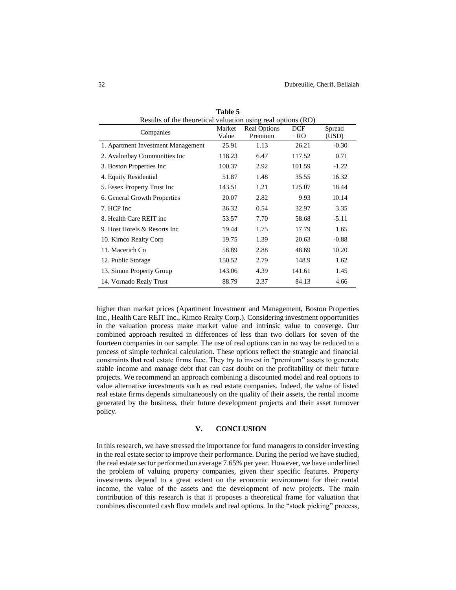| Results of the theoretical valuation using real options (RO) |                 |                                |                      |                 |
|--------------------------------------------------------------|-----------------|--------------------------------|----------------------|-----------------|
| Companies                                                    | Market<br>Value | <b>Real Options</b><br>Premium | <b>DCF</b><br>$+ RO$ | Spread<br>(USD) |
| 1. Apartment Investment Management                           | 25.91           | 1.13                           | 26.21                | $-0.30$         |
| 2. Avalonbay Communities Inc                                 | 118.23          | 6.47                           | 117.52               | 0.71            |
| 3. Boston Properties Inc.                                    | 100.37          | 2.92                           | 101.59               | $-1.22$         |
| 4. Equity Residential                                        | 51.87           | 1.48                           | 35.55                | 16.32           |
| 5. Essex Property Trust Inc.                                 | 143.51          | 1.21                           | 125.07               | 18.44           |
| 6. General Growth Properties                                 | 20.07           | 2.82                           | 9.93                 | 10.14           |
| 7. HCP Inc                                                   | 36.32           | 0.54                           | 32.97                | 3.35            |
| 8. Health Care REIT inc.                                     | 53.57           | 7.70                           | 58.68                | $-5.11$         |
| 9. Host Hotels & Resorts Inc.                                | 19.44           | 1.75                           | 17.79                | 1.65            |
| 10. Kimco Realty Corp                                        | 19.75           | 1.39                           | 20.63                | $-0.88$         |
| 11. Macerich Co.                                             | 58.89           | 2.88                           | 48.69                | 10.20           |
| 12. Public Storage                                           | 150.52          | 2.79                           | 148.9                | 1.62            |
| 13. Simon Property Group                                     | 143.06          | 4.39                           | 141.61               | 1.45            |
| 14. Vornado Realy Trust                                      | 88.79           | 2.37                           | 84.13                | 4.66            |

**Table 5**

higher than market prices (Apartment Investment and Management, Boston Properties Inc., Health Care REIT Inc., Kimco Realty Corp.). Considering investment opportunities in the valuation process make market value and intrinsic value to converge. Our combined approach resulted in differences of less than two dollars for seven of the fourteen companies in our sample. The use of real options can in no way be reduced to a process of simple technical calculation. These options reflect the strategic and financial constraints that real estate firms face. They try to invest in "premium" assets to generate stable income and manage debt that can cast doubt on the profitability of their future projects. We recommend an approach combining a discounted model and real options to value alternative investments such as real estate companies. Indeed, the value of listed real estate firms depends simultaneously on the quality of their assets, the rental income generated by the business, their future development projects and their asset turnover policy.

#### **V. CONCLUSION**

In this research, we have stressed the importance for fund managers to consider investing in the real estate sector to improve their performance. During the period we have studied, the real estate sector performed on average 7.65% per year. However, we have underlined the problem of valuing property companies, given their specific features. Property investments depend to a great extent on the economic environment for their rental income, the value of the assets and the development of new projects. The main contribution of this research is that it proposes a theoretical frame for valuation that combines discounted cash flow models and real options. In the "stock picking" process,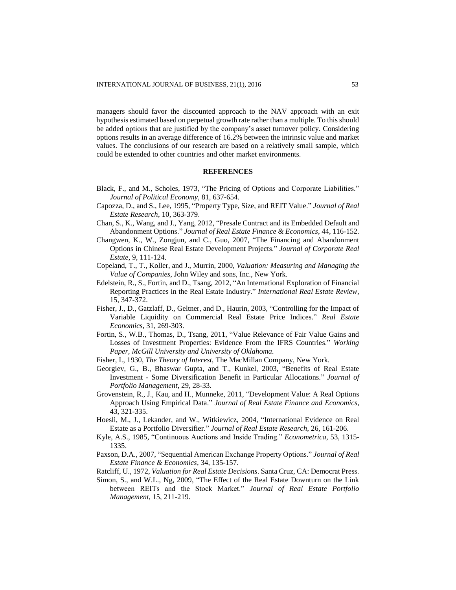managers should favor the discounted approach to the NAV approach with an exit hypothesis estimated based on perpetual growth rate rather than a multiple. To this should be added options that are justified by the company's asset turnover policy. Considering options results in an average difference of 16.2% between the intrinsic value and market values. The conclusions of our research are based on a relatively small sample, which could be extended to other countries and other market environments.

## **REFERENCES**

- Black, F., and M., Scholes, 1973, "The Pricing of Options and Corporate Liabilities." *Journal of Political Economy,* 81, 637-654.
- Capozza, D., and S., Lee, 1995, "Property Type, Size, and REIT Value." *Journal of Real Estate Research*, 10, 363-379.
- Chan, S., K., Wang, and J., Yang, 2012, ["Presale Contract and its Embedded Default and](http://web.ebscohost.com/ehost/viewarticle?data=dGJyMPPp44rp2%2fdV0%2bnjisfk5Ie46bdKsK%2bzT7Sk63nn5Kx95uXxjL6trUytqK5JsZa2UrCsuEuylr9lpOrweezp33vy3%2b2G59q7Sa%2but0i2rK9NsJzqeezdu33snOJ6u9jygKTq33%2b7t8w%2b3%2bS7T66ntEuyp68%2b5OXwhd%2fqu37z4uqM4%2b7y&hid=14)  [Abandonment Options."](http://web.ebscohost.com/ehost/viewarticle?data=dGJyMPPp44rp2%2fdV0%2bnjisfk5Ie46bdKsK%2bzT7Sk63nn5Kx95uXxjL6trUytqK5JsZa2UrCsuEuylr9lpOrweezp33vy3%2b2G59q7Sa%2but0i2rK9NsJzqeezdu33snOJ6u9jygKTq33%2b7t8w%2b3%2bS7T66ntEuyp68%2b5OXwhd%2fqu37z4uqM4%2b7y&hid=14) *Journal of Real Estate Finance & Economics*, 44, 116-152.
- Changwen, K., W., Zongjun, and C., Guo, 2007, ["The Financing and Abandonment](http://web.ebscohost.com/ehost/viewarticle?data=dGJyMPPp44rp2%2fdV0%2bnjisfk5Ie46bdKsK%2bzT7Sk63nn5Kx95uXxjL6trUytqK5JsZa2UrCsuEuylr9lpOrweezp33vy3%2b2G59q7Sa%2but0i2rK9NsJzqeezdu33snOJ6u9jygKTq33%2b7t8w%2b3%2bS7SrWptU%2byqa4%2b5OXwhd%2fqu37z4uqM4%2b7y&hid=14)  [Options in Chinese Real Estate Development Projects."](http://web.ebscohost.com/ehost/viewarticle?data=dGJyMPPp44rp2%2fdV0%2bnjisfk5Ie46bdKsK%2bzT7Sk63nn5Kx95uXxjL6trUytqK5JsZa2UrCsuEuylr9lpOrweezp33vy3%2b2G59q7Sa%2but0i2rK9NsJzqeezdu33snOJ6u9jygKTq33%2b7t8w%2b3%2bS7SrWptU%2byqa4%2b5OXwhd%2fqu37z4uqM4%2b7y&hid=14) *Journal of Corporate Real [Estate](http://web.ebscohost.com/ehost/viewarticle?data=dGJyMPPp44rp2%2fdV0%2bnjisfk5Ie46bdKsK%2bzT7Sk63nn5Kx95uXxjL6trUytqK5JsZa2UrCsuEuylr9lpOrweezp33vy3%2b2G59q7Sa%2but0i2rK9NsJzqeezdu33snOJ6u9jygKTq33%2b7t8w%2b3%2bS7SrWptU%2byqa4%2b5OXwhd%2fqu37z4uqM4%2b7y&hid=14)*, 9, 111-124.
- Copeland, T., T., Koller, and J., Murrin, 2000, *Valuation: Measuring and Managing the Value of Companies*, John Wiley and sons, Inc., New York.
- Edelstein, R., S., Fortin, and D., Tsang, 2012, "An International Exploration of Financial Reporting Practices in the Real Estate Industry." *International Real Estate Review*, 15, 347-372.
- Fisher, J., D., Gatzlaff, D., Geltner, and D., Haurin, 2003, "Controlling for the Impact of Variable Liquidity on Commercial Real Estate Price Indices." *Real Estate Economics*, 31, 269-303.
- Fortin, S., W.B., Thomas, D., Tsang, 2011, "Value Relevance of Fair Value Gains and Losses of Investment Properties: Evidence From the IFRS Countries." *Working Paper, McGill University and University of Oklahoma.*
- Fisher, I., 1930, *The Theory of Interest*, The MacMillan Company, New York.
- Georgiev, G., B., Bhaswar Gupta, and T., Kunkel, 2003, "Benefits of Real Estate Investment - Some Diversification Benefit in Particular Allocations." *Journal of Portfolio Management*, 29, 28-33.
- Grovenstein, R., J., Kau, and H., Munneke, 2011, "Development Value: A Real Options Approach Using Empirical Data." *Journal of Real Estate Finance and Economics*, 43, 321-335.
- Hoesli, M., J., Lekander, and W., Witkiewicz, 2004, "International Evidence on Real Estate as a Portfolio Diversifier." *Journal of Real Estate Research*, 26, 161-206.
- Kyle, A.S., 1985, "Continuous Auctions and Inside Trading." *Econometrica*, 53, 1315- 1335.
- Paxson, D.A., 2007, ["Sequential American Exchange Property Options."](http://web.ebscohost.com/ehost/viewarticle?data=dGJyMPPp44rp2%2fdV0%2bnjisfk5Ie46bdKsK%2bzT7Sk63nn5Kx95uXxjL6trUytqK5JsZa2UrKpuEyzlr9lpOrweezp33vy3%2b2G59q7Sa%2but0i2rK9NsJzqeezdu33snOJ6u9jygKTq33%2b7t8w%2b3%2bS7SrOmsku0qa4%2b5OXwhd%2fqu37z4uqM4%2b7y&hid=14) *Journal of Real [Estate Finance & Economics](http://web.ebscohost.com/ehost/viewarticle?data=dGJyMPPp44rp2%2fdV0%2bnjisfk5Ie46bdKsK%2bzT7Sk63nn5Kx95uXxjL6trUytqK5JsZa2UrKpuEyzlr9lpOrweezp33vy3%2b2G59q7Sa%2but0i2rK9NsJzqeezdu33snOJ6u9jygKTq33%2b7t8w%2b3%2bS7SrOmsku0qa4%2b5OXwhd%2fqu37z4uqM4%2b7y&hid=14)*, 34, 135-157.
- Ratcliff, U., 1972, *Valuation for Real Estate Decisions*. Santa Cruz, CA: Democrat Press.
- Simon, S., and W.L., Ng, 2009, "The Effect of the Real Estate Downturn on the Link between REITs and the Stock Market." *Journal of Real Estate Portfolio Management*, 15, 211-219.